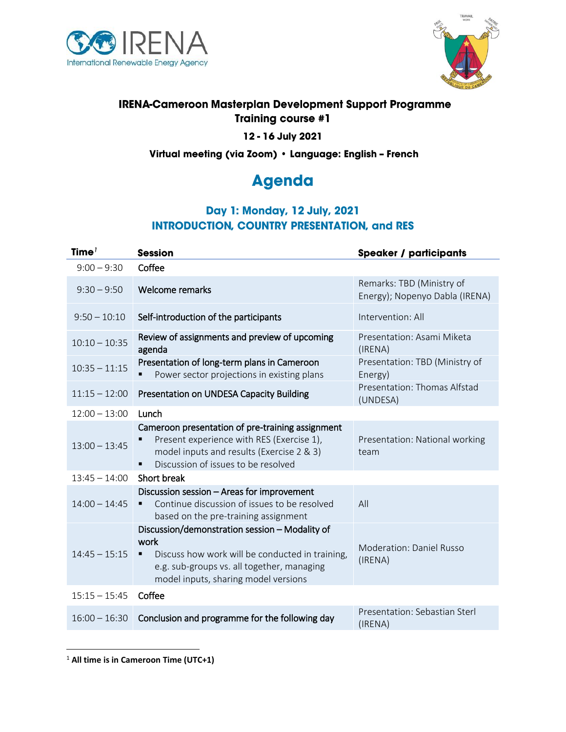



## **IRENA-Cameroon Masterplan Development Support Programme Training course #1**

#### 12 - 16 July 2021

Virtual meeting (via Zoom) · Language: English - French

# **Agenda**

# Day 1: Monday, 12 July, 2021 **INTRODUCTION, COUNTRY PRESENTATION, and RES**

| Time $7$        | <b>Session</b>                                                                                                                                                                                                    | <b>Speaker / participants</b>                               |
|-----------------|-------------------------------------------------------------------------------------------------------------------------------------------------------------------------------------------------------------------|-------------------------------------------------------------|
| $9:00 - 9:30$   | Coffee                                                                                                                                                                                                            |                                                             |
| $9:30 - 9:50$   | Welcome remarks                                                                                                                                                                                                   | Remarks: TBD (Ministry of<br>Energy); Nopenyo Dabla (IRENA) |
| $9:50 - 10:10$  | Self-introduction of the participants                                                                                                                                                                             | Intervention: All                                           |
| $10:10 - 10:35$ | Review of assignments and preview of upcoming<br>agenda                                                                                                                                                           | Presentation: Asami Miketa<br>(IRENA)                       |
| $10:35 - 11:15$ | Presentation of long-term plans in Cameroon<br>Power sector projections in existing plans                                                                                                                         | Presentation: TBD (Ministry of<br>Energy)                   |
| $11:15 - 12:00$ | Presentation on UNDESA Capacity Building                                                                                                                                                                          | Presentation: Thomas Alfstad<br>(UNDESA)                    |
| $12:00 - 13:00$ | Lunch                                                                                                                                                                                                             |                                                             |
| $13:00 - 13:45$ | Cameroon presentation of pre-training assignment<br>Present experience with RES (Exercise 1),<br>model inputs and results (Exercise 2 & 3)<br>Discussion of issues to be resolved<br>٠                            | Presentation: National working<br>team                      |
| $13:45 - 14:00$ | Short break                                                                                                                                                                                                       |                                                             |
| $14:00 - 14:45$ | Discussion session - Areas for improvement<br>Continue discussion of issues to be resolved<br>٠<br>based on the pre-training assignment                                                                           | All                                                         |
| $14:45 - 15:15$ | Discussion/demonstration session - Modality of<br>work<br>Discuss how work will be conducted in training,<br>$\blacksquare$<br>e.g. sub-groups vs. all together, managing<br>model inputs, sharing model versions | <b>Moderation: Daniel Russo</b><br>(IRENA)                  |
| $15:15 - 15:45$ | Coffee                                                                                                                                                                                                            |                                                             |
| $16:00 - 16:30$ | Conclusion and programme for the following day                                                                                                                                                                    | Presentation: Sebastian Sterl<br>(IRENA)                    |

 $\overline{a}$ 

<sup>1</sup> **All time is in Cameroon Time (UTC+1)**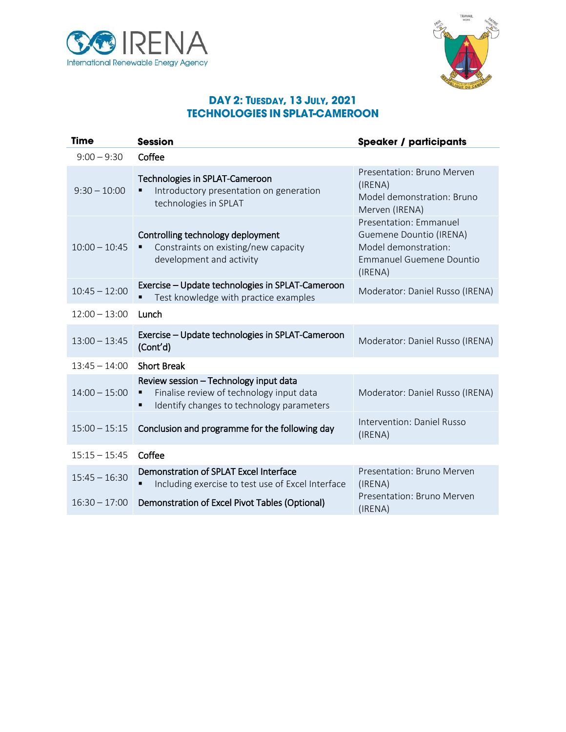



#### **DAY 2: TUESDAY, 13 JULY, 2021 TECHNOLOGIES IN SPLAT-CAMEROON**

| Time            | <b>Session</b>                                                                                                                  | <b>Speaker / participants</b>                                                                                    |
|-----------------|---------------------------------------------------------------------------------------------------------------------------------|------------------------------------------------------------------------------------------------------------------|
| $9:00 - 9:30$   | Coffee                                                                                                                          |                                                                                                                  |
| $9:30 - 10:00$  | Technologies in SPLAT-Cameroon<br>Introductory presentation on generation<br>technologies in SPLAT                              | Presentation: Bruno Merven<br>(IRENA)<br>Model demonstration: Bruno<br>Merven (IRENA)                            |
| $10:00 - 10:45$ | Controlling technology deployment<br>Constraints on existing/new capacity<br>development and activity                           | Presentation: Emmanuel<br>Guemene Dountio (IRENA)<br>Model demonstration:<br>Emmanuel Guemene Dountio<br>(IRENA) |
| $10:45 - 12:00$ | Exercise - Update technologies in SPLAT-Cameroon<br>Test knowledge with practice examples                                       | Moderator: Daniel Russo (IRENA)                                                                                  |
| $12:00 - 13:00$ | Lunch                                                                                                                           |                                                                                                                  |
| $13:00 - 13:45$ | Exercise - Update technologies in SPLAT-Cameroon<br>(Cont'd)                                                                    | Moderator: Daniel Russo (IRENA)                                                                                  |
| $13:45 - 14:00$ | <b>Short Break</b>                                                                                                              |                                                                                                                  |
| $14:00 - 15:00$ | Review session - Technology input data<br>Finalise review of technology input data<br>Identify changes to technology parameters | Moderator: Daniel Russo (IRENA)                                                                                  |
| $15:00 - 15:15$ | Conclusion and programme for the following day                                                                                  | Intervention: Daniel Russo<br>(IRENA)                                                                            |
| $15:15 - 15:45$ | Coffee                                                                                                                          |                                                                                                                  |
| $15:45 - 16:30$ | Demonstration of SPLAT Excel Interface<br>Including exercise to test use of Excel Interface                                     | Presentation: Bruno Merven<br>(IRENA)                                                                            |
| $16:30 - 17:00$ | Demonstration of Excel Pivot Tables (Optional)                                                                                  | Presentation: Bruno Merven<br>(IRENA)                                                                            |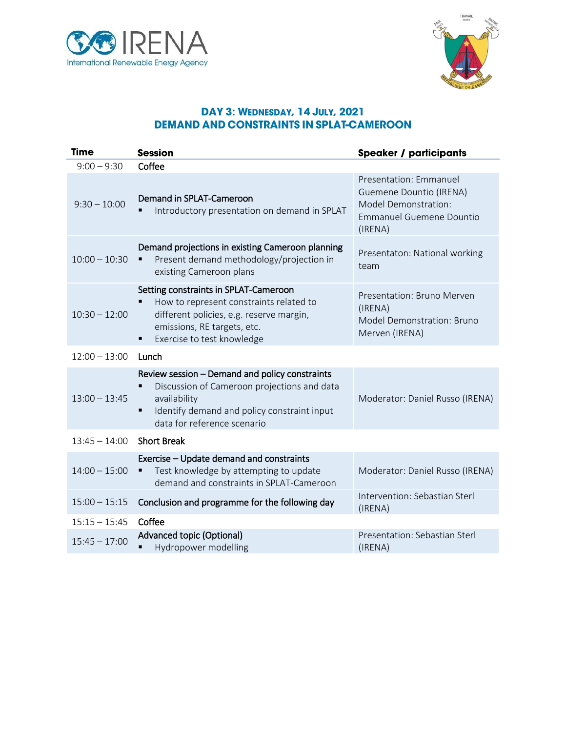



#### DAY 3: WEDNESDAY, 14 JULY, 2021 **DEMAND AND CONSTRAINTS IN SPLAT-CAMEROON**

| <b>Time</b>     | <b>Session</b>                                                                                                                                                                                      | <b>Speaker / participants</b>                                                                                                  |
|-----------------|-----------------------------------------------------------------------------------------------------------------------------------------------------------------------------------------------------|--------------------------------------------------------------------------------------------------------------------------------|
| $9:00 - 9:30$   | Coffee                                                                                                                                                                                              |                                                                                                                                |
| $9:30 - 10:00$  | Demand in SPLAT-Cameroon<br>Introductory presentation on demand in SPLAT<br>П                                                                                                                       | Presentation: Emmanuel<br>Guemene Dountio (IRENA)<br><b>Model Demonstration:</b><br><b>Emmanuel Guemene Dountio</b><br>(IRENA) |
| $10:00 - 10:30$ | Demand projections in existing Cameroon planning<br>Present demand methodology/projection in<br>п<br>existing Cameroon plans                                                                        | Presentaton: National working<br>team                                                                                          |
| $10:30 - 12:00$ | Setting constraints in SPLAT-Cameroon<br>How to represent constraints related to<br>٠<br>different policies, e.g. reserve margin,<br>emissions, RE targets, etc.<br>Exercise to test knowledge<br>٠ | Presentation: Bruno Merven<br>(IRENA)<br>Model Demonstration: Bruno<br>Merven (IRENA)                                          |
| $12:00 - 13:00$ | Lunch                                                                                                                                                                                               |                                                                                                                                |
| $13:00 - 13:45$ | Review session - Demand and policy constraints<br>Discussion of Cameroon projections and data<br>availability<br>Identify demand and policy constraint input<br>٠<br>data for reference scenario    | Moderator: Daniel Russo (IRENA)                                                                                                |
| $13:45 - 14:00$ | <b>Short Break</b>                                                                                                                                                                                  |                                                                                                                                |
| $14:00 - 15:00$ | Exercise - Update demand and constraints<br>Test knowledge by attempting to update<br>٠<br>demand and constraints in SPLAT-Cameroon                                                                 | Moderator: Daniel Russo (IRENA)                                                                                                |
| $15:00 - 15:15$ | Conclusion and programme for the following day                                                                                                                                                      | Intervention: Sebastian Sterl<br>(IRENA)                                                                                       |
| $15:15 - 15:45$ | Coffee                                                                                                                                                                                              |                                                                                                                                |
| $15:45 - 17:00$ | Advanced topic (Optional)<br>Hydropower modelling<br>$\blacksquare$                                                                                                                                 | Presentation: Sebastian Sterl<br>(IRENA)                                                                                       |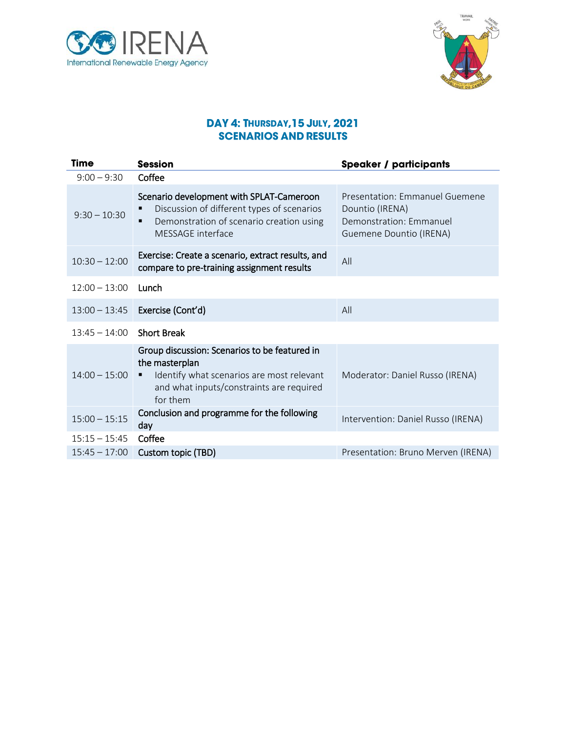



#### DAY 4: THURSDAY, 15 JULY, 2021 **SCENARIOS AND RESULTS**

| Time                        | <b>Session</b>                                                                                                                                                            | <b>Speaker / participants</b>                                                                           |
|-----------------------------|---------------------------------------------------------------------------------------------------------------------------------------------------------------------------|---------------------------------------------------------------------------------------------------------|
| $9:00 - 9:30$               | Coffee                                                                                                                                                                    |                                                                                                         |
| $9:30 - 10:30$              | Scenario development with SPLAT-Cameroon<br>Discussion of different types of scenarios<br>Demonstration of scenario creation using<br>$\blacksquare$<br>MESSAGE interface | Presentation: Emmanuel Guemene<br>Dountio (IRENA)<br>Demonstration: Emmanuel<br>Guemene Dountio (IRENA) |
| $10:30 - 12:00$             | Exercise: Create a scenario, extract results, and<br>compare to pre-training assignment results                                                                           | All                                                                                                     |
| $12:00 - 13:00$             | Lunch                                                                                                                                                                     |                                                                                                         |
| $13:00 - 13:45$             | Exercise (Cont'd)                                                                                                                                                         | All                                                                                                     |
| $13:45 - 14:00$ Short Break |                                                                                                                                                                           |                                                                                                         |
| $14:00 - 15:00$             | Group discussion: Scenarios to be featured in<br>the masterplan<br>Identify what scenarios are most relevant<br>٠<br>and what inputs/constraints are required<br>for them | Moderator: Daniel Russo (IRENA)                                                                         |
| $15:00 - 15:15$             | Conclusion and programme for the following<br>day                                                                                                                         | Intervention: Daniel Russo (IRENA)                                                                      |
| $15:15 - 15:45$             | Coffee                                                                                                                                                                    |                                                                                                         |
| $15:45 - 17:00$             | Custom topic (TBD)                                                                                                                                                        | Presentation: Bruno Merven (IRENA)                                                                      |